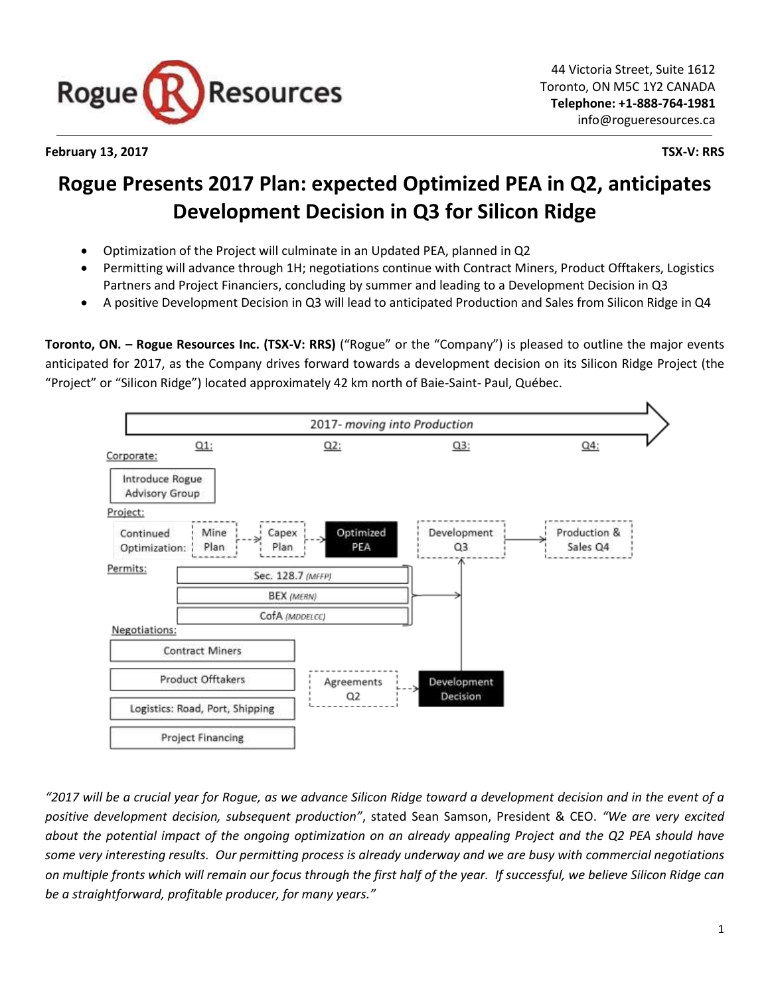

### **February 13, 2017 TSX-V: RRS**

# **Rogue Presents 2017 Plan: expected Optimized PEA in Q2, anticipates Development Decision in Q3 for Silicon Ridge**

- Optimization of the Project will culminate in an Updated PEA, planned in Q2
- Permitting will advance through 1H; negotiations continue with Contract Miners, Product Offtakers, Logistics Partners and Project Financiers, concluding by summer and leading to a Development Decision in Q3
- A positive Development Decision in Q3 will lead to anticipated Production and Sales from Silicon Ridge in Q4

**Toronto, ON. – Rogue Resources Inc. (TSX-V: RRS)** ("Rogue" or the "Company") is pleased to outline the major events anticipated for 2017, as the Company drives forward towards a development decision on its Silicon Ridge Project (the "Project" or "Silicon Ridge") located approximately 42 km north of Baie-Saint- Paul, Québec.



*"2017 will be a crucial year for Rogue, as we advance Silicon Ridge toward a development decision and in the event of a positive development decision, subsequent production"*, stated Sean Samson, President & CEO. *"We are very excited about the potential impact of the ongoing optimization on an already appealing Project and the Q2 PEA should have some very interesting results. Our permitting process is already underway and we are busy with commercial negotiations on multiple fronts which will remain our focus through the first half of the year. If successful, we believe Silicon Ridge can be a straightforward, profitable producer, for many years."*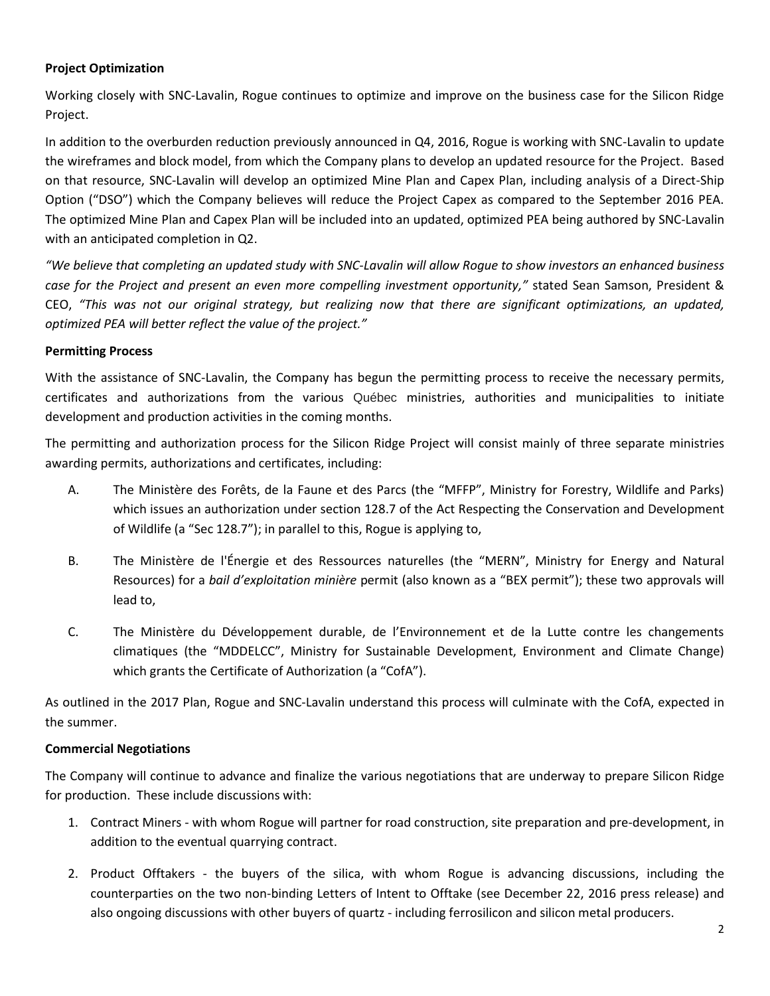# **Project Optimization**

Working closely with SNC-Lavalin, Rogue continues to optimize and improve on the business case for the Silicon Ridge Project.

In addition to the overburden reduction previously announced in Q4, 2016, Rogue is working with SNC-Lavalin to update the wireframes and block model, from which the Company plans to develop an updated resource for the Project. Based on that resource, SNC-Lavalin will develop an optimized Mine Plan and Capex Plan, including analysis of a Direct-Ship Option ("DSO") which the Company believes will reduce the Project Capex as compared to the September 2016 PEA. The optimized Mine Plan and Capex Plan will be included into an updated, optimized PEA being authored by SNC-Lavalin with an anticipated completion in Q2.

*"We believe that completing an updated study with SNC-Lavalin will allow Rogue to show investors an enhanced business case for the Project and present an even more compelling investment opportunity,"* stated Sean Samson, President & CEO, *"This was not our original strategy, but realizing now that there are significant optimizations, an updated, optimized PEA will better reflect the value of the project."*

### **Permitting Process**

With the assistance of SNC-Lavalin, the Company has begun the permitting process to receive the necessary permits, certificates and authorizations from the various Québec ministries, authorities and municipalities to initiate development and production activities in the coming months.

The permitting and authorization process for the Silicon Ridge Project will consist mainly of three separate ministries awarding permits, authorizations and certificates, including:

- A. The [Ministère des Forêts, de la Faune et des Parcs](http://mffp.gouv.qc.ca/english/home.jsp) (the "MFFP", Ministry for Forestry, Wildlife and Parks) which issues an authorization under section 128.7 of the Act Respecting the Conservation and Development of Wildlife (a "Sec 128.7"); in parallel to this, Rogue is applying to,
- B. The [Ministère de l'Énergie et des Ressources naturelles](https://mern.gouv.qc.ca/en/) (the "MERN", Ministry for Energy and Natural Resources) for a *bail d'exploitation minière* permit (also known as a "BEX permit"); these two approvals will lead to,
- C. The Ministère du Développement durable, de l'Environnement et de la Lutte contre les changements climatiques (the "MDDELCC", Ministry for Sustainable Development, Environment and Climate Change) which grants the Certificate of Authorization (a "CofA").

As outlined in the 2017 Plan, Rogue and SNC-Lavalin understand this process will culminate with the CofA, expected in the summer.

# **Commercial Negotiations**

The Company will continue to advance and finalize the various negotiations that are underway to prepare Silicon Ridge for production. These include discussions with:

- 1. Contract Miners with whom Rogue will partner for road construction, site preparation and pre-development, in addition to the eventual quarrying contract.
- 2. Product Offtakers the buyers of the silica, with whom Rogue is advancing discussions, including the counterparties on the two non-binding Letters of Intent to Offtake (see December 22, 2016 press release) and also ongoing discussions with other buyers of quartz - including ferrosilicon and silicon metal producers.